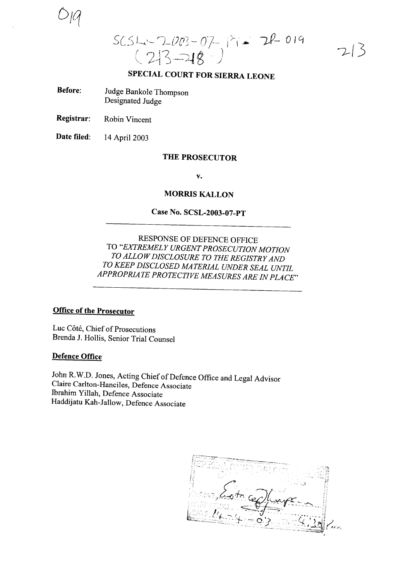D;q

 $SCSL-2003-07$   $\rightarrow$   $P_{1}$   $\rightarrow$  2 $P$  0 19  $(213 - 18)$ 

 $7/5$ 

# SPECIAL COURT FOR SIERRA LEONE

- Before: Judge Bankole Thompson Designated Judge
- Registrar: Robin Vincent

Date filed: <sup>14</sup> April 2003

## THE PROSECUTOR

v.

### MORRIS KALLON

## Case No. SCSL-2003-07-PT

RESPONSE OF DEFENCE OFFICE TO *"EXTREMELY URGENTPROSECUTION MOTION TO ALLOWDISCLOSURE TO THE REGISTRYAND TO KEEP DISCLOSED MATERIAL UNDER SEAL UNTIL APPROPRIATE PROTECTIVE MEASURES ARE IN PLACE"*

## Office of the Prosecutor

Luc Côté, Chief of Prosecutions Brenda 1. Hollis, Senior Trial Counsel

### Defence Office

John R.W.D. Jones, Acting Chief of Defence Office and Legal Advisor Claire CarIton-Hanciles, Defence Associate Ibrahim YilIah, Defence Associate Haddijatu Kah-JalIow, Defence Associate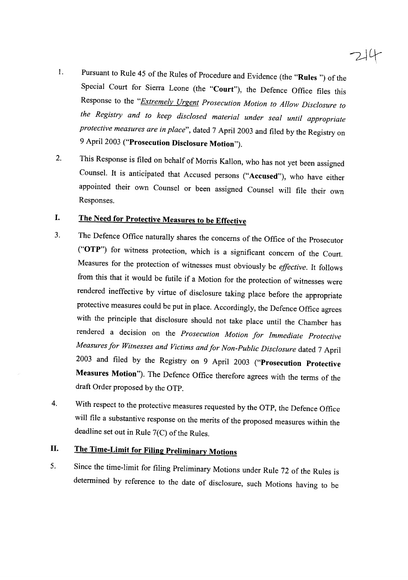# $244$

- 1. Pursuant to Rule 45 of the Rules of Procedure and Evidence (the "Rules") of the Special Court for Sierra Leone (the "Court"), the Defence Office files this Response to the *"Extremely Urgent Prosecution Motion to Allow Disclosure to the Registry and to keep disclosed material under seal until appropriate protective measures are in place",* dated <sup>7</sup> April <sup>2003</sup> and filed by the Registry on <sup>9</sup> April <sup>2003</sup> ("Prosecution Disclosure Motion").
- 2. This Response is filed on behalf of Morris Kallon, who has not yet been assigned Counsel. It is anticipated that Accused persons ("Accused"), who have either appointed their own Counsel or been assigned Counsel will file their own Responses.

## I. The Need for Protective Measures to be Effective

- 3. The Defence Office naturally shares the concerns of the Office of the Prosecutor ("OTP") for witness protection, which is <sup>a</sup> significant concern of the Court. Measures for the protection of witnesses must obviously be *effective.* It follows from this that it would be futile if <sup>a</sup> Motion for the protection of witnesses were rendered ineffective by virtue of disclosure taking <sup>p</sup>lace before the appropriate protective measures could be put in <sup>p</sup>lace. Accordingly, the Defence Office agrees with the principle that disclosure should not take <sup>p</sup>lace until the Chamber has rendered <sup>a</sup> decision on the *Prosecution Motion for Immediate Protective Measures for Witnesses and Victims andfor Non-Public Disclosure* dated <sup>7</sup> April <sup>2003</sup> and filed by the Registry on <sup>9</sup> April <sup>2003</sup> ("Prosecution Protective Measures Motion"). The Defence Office therefore agrees with the terms of the draft Order proposed by the OTP.
- 4. With respect to the protective measures requested by the OTP, the Defence Office will file <sup>a</sup> substantive response on the merits of the proposed measures within the deadline set out in Rule  $7(C)$  of the Rules.

# II. The Time-Limit for Filing Preliminary Motions

5. Since the time-limit for filing Preliminary Motions under Rule <sup>72</sup> of the Rules is determined by reference to the date of disclosure, such Motions having to be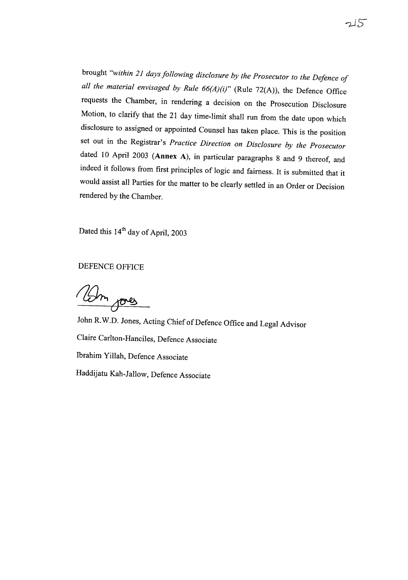brought *"within* <sup>21</sup> *days following disclosure by the Prosecutor to the Defence of all the material envisaged by Rule 66(A)(i)"* (Rule 72(A)), the Defence Office requests the Chamber, in rendering <sup>a</sup> decision on the Prosecution Disclosure Motion, to clarify that the <sup>21</sup> day time-limit shall run from the date upon which disclosure to assigned or appointed Counsel has taken <sup>p</sup>lace. This is the position set out in the Registrar's *Practice Direction on Disclosure by the Prosecutor* dated <sup>10</sup> April <sup>2003</sup> (Annex A), in particular paragraphs <sup>8</sup> and <sup>9</sup> thereof, and indeed it follows from first principles of logic and fairness. It is submitted that it would assist all Parties for the matter to be clearly settled in an Order or Decision rendered by the Chamber.

Dated this 14<sup>th</sup> day of April, 2003

DEFENCE OFFICE

Um jours

John R.W.D. Jones, Acting Chief of Defence Office and Legal Advisor Claire Carlton-Hanciles, Defence Associate Ibrahim Yillah, Defence Associate Haddijatu Kah-Jallow, Defence Associate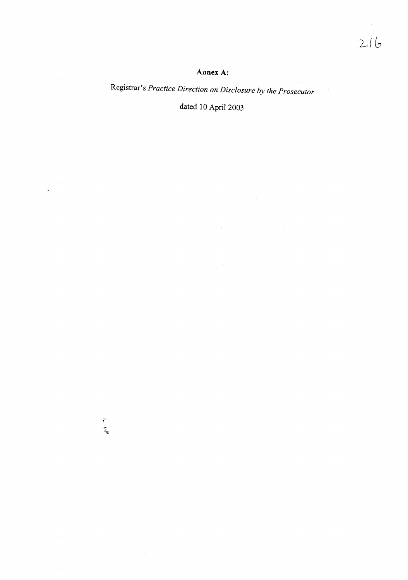### **Annex A:**

Registrar's *Practice Direction on Disclosure by the Prosecutor*

dated 10 April 2003

 $\Delta \sim 10^4$ 

 $\ddot{\phantom{0}}$ 

 $\frac{1}{2} \mathcal{O}$ 

 $\mathcal{L}^{\mathcal{L}}$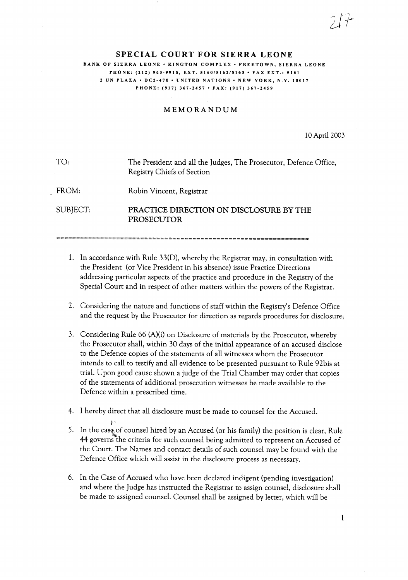### SPECIAL COURT **FOR** SIERRA LEONE BANK OF SIERRA LEONE · KINGTOM COMPLEX · FREETOWN, SIERRA LEONE PHONE: (212) 963-9915, EXT. 5160/5162/5163 • FAX EXT.: 5161 <sup>2</sup> UN PLAZA' DC2-470' UNITED NATIONS' NEW YORK, N.Y. 10017 PHONE: (917) 367-2457 • FAX: (917) 367·2459

### MEMORANDUM

10 April 2003

 $\angle$  $2f\overline{f}$ 

TO: The President and all the Judges, The Prosecutor, Defence Office, Registry Chiefs of Section

FROM: Robin Vincent, Registrar

SUBJECT:

PRACTICE DIRECTION ON DISCLOSURE BY THE PROSECUTOR

- 1. In accordance with Rule 33(D), whereby the Registrar may, in consultation with the President (or Vice President in his absence) issue Practice Directions addressing particular aspects of the practice and procedure in the Registry of the Special Court and in respect of other matters within the powers of the Registrar.
- 2. Considering the nature and functions of staff within the Registry's Defence Office and the request by the Prosecutor for direction as regards procedures for disclosure;
- 3. Considering Rule 66 (A)(i) on Disclosure of materials by the Prosecutor, whereby the Prosecutor shall, within 30 days of the initial appearance of an accused disclose to the Defence copies of the statements of all witnesses whom the Prosecutor intends to call to testify and all evidence to be presented pursuant to Rule 92bis at trial. Upon good cause shown a judge of the Trial Chamber may order that copies of the statements of additional prosecution witnesses be made available to the Defence within a prescribed time.
- 4. I hereby direct that all disclosure must be made to counsel for the Accused.
- j: 5. In the case of counsel hired by an Accused (or his family) the position is clear, Rule 44 governs the criteria for such counsel being admitted to represent an Accused of the Court. The Names and contact details of such counsel may be found with the Defence Office which will assist in the disclosure process as necessary.
- 6. In the Case of Accused who have been declared indigent (pending investigation) and where the Judge has instructed the Registrar to assign counsel, disclosure shall be made to assigned counsel. Counsel shall be assigned by letter, which will be

1